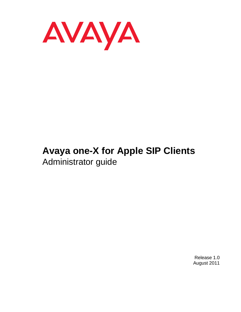

# **Avaya one-X for Apple SIP Clients** Administrator guide

Release 1.0 August 2011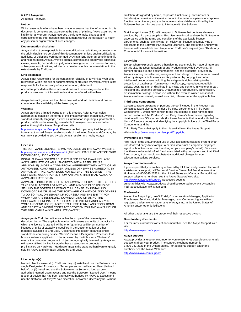#### **© 2011 Avaya Inc.**

All Rights Reserved.

#### **Notice**

While reasonable efforts have been made to ensure that the information in this document is complete and accurate at the time of printing, Avaya assumes no liability for any errors. Avaya reserves the right to make changes and corrections to the information in this document without the obligation to notify any person or organization of such changes.

#### **Documentation disclaimer**

Avaya shall not be responsible for any modifications, additions, or deletions to the original published version of this documentation unless such modifications, additions, or deletions were performed by Avaya. End User agree to indemnify and hold harmless Avaya, Avaya's agents, servants and employees against all claims, lawsuits, demands and judgments arising out of, or in connection with, subsequent modifications, additions or deletions to this documentation, to the extent made by End User.

#### **Link disclaimer**

Avaya is not responsible for the contents or reliability of any linked Web sites referenced within this site or documentation(s) provided by Avaya. Avaya is not responsible for the accuracy of any information, statement

or content provided on these sites and does not necessarily endorse the products, services, or information described or offered within them.

Avaya does not guarantee that these links will work all the time and has no control over the availability of the linked pages.

#### **Warranty**

Avaya provides a limited warranty on this product. Refer to your sales agreement to establish the terms of the limited warranty. In addition, Avaya's standard warranty language, as well as information regarding support for this product, while under warranty, is available to Avaya customers and other parties through the Avaya Support Web site:

<http://www.avaya.com/support> . Please note that if you acquired the product from an authorized Avaya reseller outside of the United States and Canada, the warranty is provided to you by said Avaya reseller and not by Avaya.:

#### **Licenses**

THE SOFTWARE LICENSE TERMS AVAILABLE ON THE AVAYA WEBSITE, http://support.avaya.com/LicenseInfo/ (ARE APPLICABLE TO ANYONE WHO DOWNLOADS, USES AND/OR

INSTALLS AVAYA SOFTWARE, PURCHASED FROM AVAYA INC., ANY AVAYA AFFILIATE, OR AN AUTHORIZED AVAYA RESELLER (AS APPLICABLE) UNDER A COMMERCIAL AGREEMENT WITH AVAYA OR AN AUTHORIZED AVAYA RESELLER. UNLESS OTHERWISE AGREED TO BY AVAYA IN WRITING, AVAYA DOES NOT EXTEND THIS LICENSE IF THE SOFTWARE WAS OBTAINED FROM ANYONE OTHER THAN AVAYA, AN AVAYA AFFILIATE OR AN

AVAYA AUTHORIZED RESELLER, AND AVAYA RESERVES THE RIGHT TO TAKE LEGAL ACTION AGAINST YOU AND ANYONE ELSE USING OR SELLING THE SOFTWARE WITHOUT A LICENSE. BY INSTALLING, DOWNLOADING OR USING THE SOFTWARE, OR AUTHORIZING OTHERS TO DO SO, YOU, ON BEHALF OF YOURSELF AND THE ENTITY FOR WHOM YOU ARE INSTALLING, DOWNLOADING OR USING THE SOFTWARE (HEREINAFTER REFERRED TO INTERCHANGEABLY AS "YOU" AND "END USER"), AGREE TO THESE TERMS AND CONDITIONS AND CREATE A BINDING CONTRACT BETWEEN YOU AND AVAYA INC. OR THE APPLICABLE AVAYA AFFILIATE ("AVAYA").

Avaya grants End User a license within the scope of the license types described below. The applicable number of licenses and units of capacity for which the license is granted will be one (1), unless a different number of licenses or units of capacity is specified in the Documentation or other materials available to End User. "Designated Processor" means a single stand-alone computing device. "Server" means a Designated Processor that hosts a software application to be accessed by multiple users. "Software" means the computer programs in object code, originally licensed by Avaya and ultimately utilized by End User, whether as stand-alone products or pre-installed on Hardware. "Hardware" means the standard hardware originally sold by Avaya and ultimately utilized by End User.

#### **License type(s)**

Named User License (NU). End User may: (i) install and use the Software on a single Designated Processor or Server per authorized Named User (defined below); or (ii) install and use the Software on a Server so long as only authorized Named Users access and use the Software. "Named User," means a user or device that has been expressly authorized by Avaya to access and use the Software. At Avaya's sole discretion, a "Named User" may be, without

limitation, designated by name, corporate function (e.g., webmaster or helpdesk), an e-mail or voice mail account in the name of a person or corporate function, or a directory entry in the administrative database utilized by the Software that permits one user to interface with the Software.

Shrinkwrap License (SR). With respect to Software that contains elements provided by third party suppliers, End User may install and use the Software in accordance with the terms and conditions of the applicable license agreements, such as "shrinkwrap" or "clickwrap" license accompanying or applicable to the Software ("Shrinkwrap License"). The text of the Shrinkwrap License will be available from Avaya upon End User's request (see "Third-party Components" for more information).

#### **Copyright**

Except where expressly stated otherwise, no use should be made of materials on this site, the Documentation(s) and Product(s) provided by Avaya. All content on this site, the documentation(s) and the product(s) provided by Avaya including the selection, arrangement and design of the content is owned either by Avaya or its licensors and is protected by copyright and other intellectual property laws including the sui generis rights relating to the protection of databases. You may not modify, copy, reproduce, republish, upload, post, transmit or distribute in any way any content, in whole or in part, including any code and software. Unauthorized reproduction, transmission, dissemination, storage, and or use without the express written consent of Avaya can be a criminal, as well as a civil, offense under the applicable law.

#### **Third-party components**

Certain software programs or portions thereof included in the Product may contain software distributed under third party agreements ("Third Party Components"), which may contain terms that expand or limit rights to use certain portions of the Product ("Third Party Terms"). Information regarding distributed Linux OS source code (for those Products that have distributed the Linux OS source code), and identifying the copyright holders of the Third Party Components and the

Third Party Terms that apply to them is available on the Avaya Support [Web site:h](http://www.avaya.com/support/Copyright/)ttp://www.avaya.com/support/Copyright/.

#### **Preventing toll fraud**

"Toll fraud" is the unauthorized use of your telecommunications system by an unauthorized party (for example, a person who is not a corporate employee, agent, subcontractor, or is not working on your company's behalf). Be aware that there can be a risk of toll fraud associated with your system and that, if toll fraud occurs, it can result in substantial additional charges for your telecommunications services.

#### **Avaya fraud intervention**

If you suspect that you are being victimized by toll fraud and you need technical assistance or support, call Technical Service Center Toll Fraud Intervention Hotline at +1-800-643-2353 for the United States and Canada. For additional support telephone numbers, see the Avaya Support Web site: <http://www.avaya.com/support>. Suspected security

vulnerabilities with Avaya products should be reported to Avaya by sending mail to: securityalerts@avaya.com.

#### **Trademarks**

Avaya, the Avaya logo, one-X Portal, Communication Manager, Application Enablement Services, Modular Messaging, and Conferencing are either registered trademarks or trademarks of Avaya Inc. in the United States of America and/or other jurisdictions.

All other trademarks are the property of their respective owners.

#### **Downloading documents**

For the most current versions of documentation, see the Avaya Support Web site:

[http://www.avaya.com/support](http://www.avaya.com/support/)

#### **Avaya support**

Avaya provides a telephone number for you to use to report problems or to ask questions about your product. The support telephone number is 1-800-242-2121 in the United States. For additional support telephone numbers, see the Avaya Web site:

[http://www.avaya.com/support](http://www.avaya.com/support/)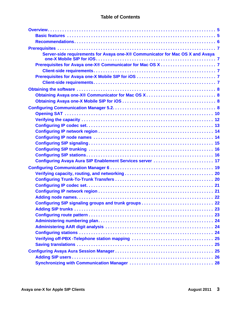### **Table of Contents**

| Server-side requirements for Avaya one-X® Communicator for Mac OS X and Avaya |  |
|-------------------------------------------------------------------------------|--|
|                                                                               |  |
|                                                                               |  |
|                                                                               |  |
|                                                                               |  |
|                                                                               |  |
|                                                                               |  |
|                                                                               |  |
|                                                                               |  |
|                                                                               |  |
|                                                                               |  |
|                                                                               |  |
|                                                                               |  |
|                                                                               |  |
|                                                                               |  |
|                                                                               |  |
|                                                                               |  |
| Configuring Avaya Aura SIP Enablement Services server  17                     |  |
|                                                                               |  |
|                                                                               |  |
|                                                                               |  |
|                                                                               |  |
|                                                                               |  |
|                                                                               |  |
|                                                                               |  |
|                                                                               |  |
|                                                                               |  |
|                                                                               |  |
|                                                                               |  |
|                                                                               |  |
|                                                                               |  |
|                                                                               |  |
|                                                                               |  |
|                                                                               |  |
|                                                                               |  |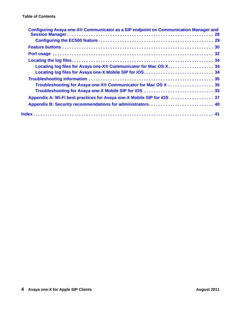| Configuring Avaya one-X® Communicator as a SIP endpoint on Communication Manager and |  |
|--------------------------------------------------------------------------------------|--|
|                                                                                      |  |
|                                                                                      |  |
|                                                                                      |  |
|                                                                                      |  |
|                                                                                      |  |
|                                                                                      |  |
|                                                                                      |  |
|                                                                                      |  |
|                                                                                      |  |
|                                                                                      |  |
| Appendix B: Security recommendations for administrators 40                           |  |
|                                                                                      |  |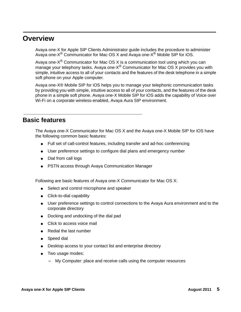# <span id="page-4-0"></span>**Overview**

Avaya one-X for Apple SIP Clients Administrator guide includes the procedure to administer Avaya one- $X^{\circledR}$  Communicator for Mac OS X and Avaya one- $X^{\circledR}$  Mobile SIP for iOS.

Avava one- $X^{\circledast}$  Communicator for Mac OS X is a communication tool using which you can manage your telephony tasks. Avaya one- $X^{\circledR}$  Communicator for Mac OS X provides you with simple, intuitive access to all of your contacts and the features of the desk telephone in a simple soft phone on your Apple computer.

Avaya one-X® Mobile SIP for iOS helps you to manage your telephonic communication tasks by providing you with simple, intuitive access to all of your contacts, and the features of the desk phone in a simple soft phone. Avaya one-X Mobile SIP for iOS adds the capability of Voice over Wi-Fi on a corporate wireless-enabled, Avaya Aura SIP environment.

## <span id="page-4-1"></span>**Basic features**

The Avaya one-X Communicator for Mac OS X and the Avaya one-X Mobile SIP for iOS have the following common basic features:

- Full set of call-control features, including transfer and ad-hoc conferencing
- User preference settings to configure dial plans and emergency number
- Dial from call logs
- PSTN access through Avaya Communication Manager

Following are basic features of Avaya one-X Communicator for Mac OS X:

- Select and control microphone and speaker
- Click-to-dial capability
- User preference settings to control connections to the Avaya Aura environment and to the corporate directory
- Docking and undocking of the dial pad
- Click to access voice mail
- **Redial the last number**
- Speed dial
- Desktop access to your contact list and enterprise directory
- Two usage modes:
	- My Computer: place and receive calls using the computer resources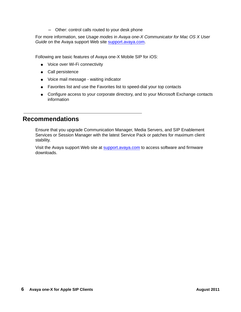- Other: control calls routed to your desk phone

For more information, see *Usage modes* in *Avaya one-X Communicator for Mac OS X User Guide* on the Avaya support Web site [support.avaya.com](http://support.avaya.com).

Following are basic features of Avaya one-X Mobile SIP for iOS:

- Voice over Wi-Fi connectivity
- Call persistence
- Voice mail message waiting indicator
- Favorites list and use the Favorites list to speed-dial your top contacts
- Configure access to your corporate directory, and to your Microsoft Exchange contacts information

## <span id="page-5-0"></span>**Recommendations**

Ensure that you upgrade Communication Manager, Media Servers, and SIP Enablement Services or Session Manager with the latest Service Pack or patches for maximum client stability.

Visit the Avaya support Web site at [support.avaya.com](http://support.avaya.com) to access software and firmware downloads.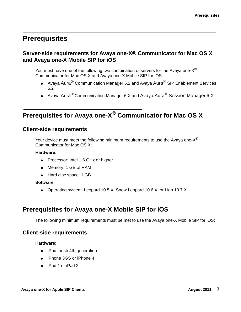# <span id="page-6-6"></span><span id="page-6-0"></span>**Prerequisites**

## <span id="page-6-1"></span>**Server-side requirements for Avaya one-X® Communicator for Mac OS X and Avaya one-X Mobile SIP for iOS**

You must have one of the following two combination of servers for the Avaya one- $X^{\circledast}$ Communicator for Mac OS X and Avaya one-X Mobile SIP for iOS:

- Avaya Aura<sup>®</sup> Communication Manager 5.2 and Avaya Aura<sup>®</sup> SIP Enablement Services 5.2
- Avaya Aura<sup>®</sup> Communication Manager 6.X and Avaya Aura<sup>®</sup> Session Manager 6.X

# <span id="page-6-2"></span>**Prerequisites for Avaya one-X® Communicator for Mac OS X**

### <span id="page-6-3"></span>**Client-side requirements**

Your device must meet the following minimum requirements to use the Avaya one- $X^{\circledast}$ Communicator for Mac OS X:

### **Hardware**:

- Processor: Intel 1.6 GHz or higher
- Memory: 1 GB of RAM
- Hard disc space: 1 GB

### **Software**:

● Operating system: Leopard 10.5.X, Snow Leopard 10.6.X, or Lion 10.7.X

# <span id="page-6-4"></span>**Prerequisites for Avaya one-X Mobile SIP for iOS**

The following minimum requirements must be met to use the Avaya one-X Mobile SIP for iOS:

### <span id="page-6-5"></span>**Client-side requirements**

### **Hardware**:

- iPod touch 4th generation
- iPhone 3GS or iPhone 4
- iPad 1 or iPad 2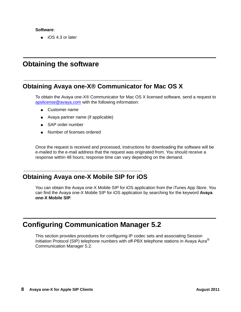### **Software**:

● iOS 4.3 or later

# <span id="page-7-0"></span>**Obtaining the software**

## <span id="page-7-1"></span>**Obtaining Avaya one-X® Communicator for Mac OS X**

To obtain the Avaya one-X® Communicator for Mac OS X licensed software, send a request to apslicense@avaya.com with the following information:

- Customer name
- Avaya partner name (if applicable)
- SAP order number
- Number of licenses ordered

Once the request is received and processed, instructions for downloading the software will be e-mailed to the e-mail address that the request was originated from. You should receive a response within 48 hours; response time can vary depending on the demand.

# <span id="page-7-2"></span>**Obtaining Avaya one-X Mobile SIP for iOS**

You can obtain the Avaya one-X Mobile SIP for iOS application from the iTunes App Store. You can find the Avaya one-X Mobile SIP for iOS application by searching for the keyword **Avaya one-X Mobile SIP**.

# <span id="page-7-4"></span><span id="page-7-3"></span>**Configuring Communication Manager 5.2**

This section provides procedures for configuring IP codec sets and associating Session Initiation Protocol (SIP) telephone numbers with off-PBX telephone stations in Avaya Aura<sup>®</sup> Communication Manager 5.2.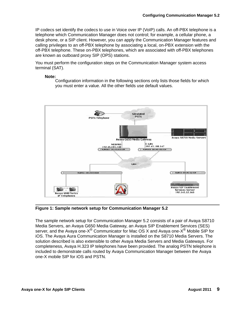IP codecs set identify the codecs to use in Voice over IP (VoIP) calls. An off-PBX telephone is a telephone which Communication Manager does not control; for example, a cellular phone, a desk phone, or a SIP client. However, you can apply the Communication Manager features and calling privileges to an off-PBX telephone by associating a local, on-PBX extension with the off-PBX telephone. These on-PBX telephones, which are associated with off-PBX telephones are known as outboard proxy SIP (OPS) stations.

You must perform the configuration steps on the Communication Manager system access terminal (SAT).

### **Note:**

Configuration information in the following sections only lists those fields for which you must enter a value. All the other fields use default values.



**Figure 1: Sample network setup for Communication Manager 5.2**

The sample network setup for Communication Manager 5.2 consists of a pair of Avaya S8710 Media Servers, an Avaya G650 Media Gateway, an Avaya SIP Enablement Services (SES) server, and the Avaya one-X<sup>®</sup> Communicator for Mac OS X and Avaya one-X<sup>®</sup> Mobile SIP for iOS. The Avaya Aura Communication Manager is installed on the S8710 Media Servers. The solution described is also extensible to other Avaya Media Servers and Media Gateways. For completeness, Avaya H.323 IP telephones have been provided. The analog PSTN telephone is included to demonstrate calls routed by Avaya Communication Manager between the Avaya one-X mobile SIP for iOS and PSTN.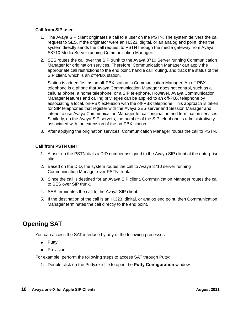### **Call from SIP user**

- 1. The Avaya SIP client originates a call to a user on the PSTN. The system delivers the call request to SES. If the originator were an H.323, digital, or an analog end point, then the system directly sends the call request to PSTN through the media gateway from Avaya S8710 Media Server running Communication Manager.
- 2. SES routes the call over the SIP trunk to the Avaya 8710 Server running Communication Manager for origination services. Therefore, Communication Manager can apply the appropriate call restrictions to the end point, handle call routing, and track the status of the SIP client, which is an off-PBX station.

Station is added first as an off-PBX station in Communication Manager. An off-PBX telephone is a phone that Avaya Communication Manager does not control, such as a cellular phone, a home telephone, or a SIP telephone. However, Avaya Communication Manager features and calling privileges can be applied to an off-PBX telephone by associating a local, on-PBX extension with the off-PBX telephone. This approach is taken for SIP telephones that register with the Avaya SES server and Session Manager and intend to use Avaya Communication Manager for call origination and termination services. Similarly, on the Avaya SIP servers, the number of the SIP telephone is administratively associated with the extension of the on-PBX station.

3. After applying the origination services, Communication Manager routes the call to PSTN.

### **Call from PSTN user**

- 1. A user on the PSTN dials a DID number assigned to the Avaya SIP client at the enterprise site.
- 2. Based on the DID, the system routes the call to Avaya 8710 server running Communication Manager over PSTN trunk.
- 3. Since the call is destined for an Avaya SIP client, Communication Manager routes the call to SES over SIP trunk.
- 4. SES terminates the call to the Avaya SIP client.
- <span id="page-9-1"></span>5. If the destination of the call is an H.323, digital, or analog end point, then Communication Manager terminates the call directly to the end point.

## <span id="page-9-0"></span>**Opening SAT**

You can access the SAT interface by any of the following processes:

- Putty
- Provision

For example, perform the following steps to access SAT through Putty:

1. Double click on the Putty.exe file to open the **Putty Configuration** window.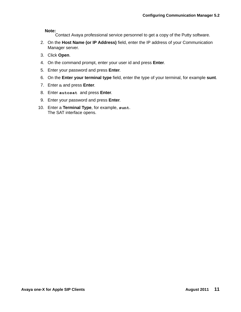**Note:**

Contact Avaya professional service personnel to get a copy of the Putty software.

- 2. On the **Host Name (or IP Address)** field, enter the IP address of your Communication Manager server.
- 3. Click **Open**.
- 4. On the command prompt, enter your user id and press **Enter**.
- 5. Enter your password and press **Enter**.
- 6. On the **Enter your terminal type** field, enter the type of your terminal, for example **sunt**.
- 7. Enter **n** and press **Enter**.
- 8. Enter **autosat** and press **Enter**.
- 9. Enter your password and press **Enter**.
- 10. Enter a **Terminal Type**, for example, **sunt**. The SAT interface opens.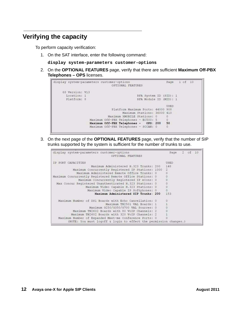# <span id="page-11-1"></span><span id="page-11-0"></span>**Verifying the capacity**

To perform capacity verification:

1. On the SAT interface, enter the following command:

**display system-parameters customer-options**

2. On the **OPTIONAL FEATURES** page, verify that there are sufficient **Maximum Off-PBX Telephones – OPS** licenses.



3. On the next page of the **OPTIONAL FEATURES** page, verify that the number of SIP trunks supported by the system is sufficient for the number of trunks to use.

| display system-parameters customer-options<br>OPTIONAL FEATURES   | Page                                       | $2$ of | 10 |
|-------------------------------------------------------------------|--------------------------------------------|--------|----|
| IP PORT CAPACITIES                                                | USED                                       |        |    |
| Maximum Administered H.323 Trunks: 200                            | 148                                        |        |    |
| Maximum Concurrently Registered IP Stations: 1000                 |                                            |        |    |
| Maximum Administered Remote Office Trunks: 0                      | $\begin{array}{c} 2 \\ 0 \\ 0 \end{array}$ |        |    |
| Maximum Concurrently Registered Remote Office Stations: 0         |                                            |        |    |
| Maximum Concurrently Registered IP eCons: 0                       |                                            |        |    |
| Max Concur Registered Unauthenticated H.323 Stations: 0           | $\overline{0}$                             |        |    |
| Maximum Video Capable H.323 Stations: 0                           |                                            |        |    |
| Maximum Video Capable IP Softphones: 0                            |                                            |        |    |
| Maximum Administered SIP Trunks: 200                              | 153                                        |        |    |
| Maximum Number of DS1 Boards with Echo Cancellation: 0            |                                            |        |    |
| Maximum TN2501 VAL Boards: 1                                      |                                            |        |    |
| Maximum G250/G350/G700 VAL Sources: 0                             | $\overline{0}$                             |        |    |
| Maximum TN2602 Boards with 80 VoIP Channels: 2                    |                                            |        |    |
| Maximum TN2602 Boards with 320 VoIP Channels: 2                   |                                            |        |    |
| Maximum Number of Expanded Meet-me Conference Ports: 0            |                                            |        |    |
| (NOTE: You must logoff & login to effect the permission changes.) |                                            |        |    |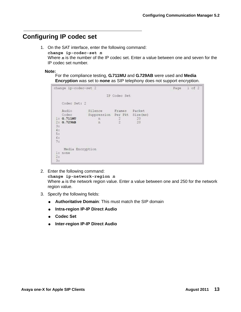## <span id="page-12-0"></span>**Configuring IP codec set**

<span id="page-12-1"></span>1. On the SAT interface, enter the following command: **change ip-codec-set** *n*

Where *n* is the number of the IP codec set. Enter a value between one and seven for the IP codec set number.

### **Note:**

For the compliance testing, **G.711MU** and **G.729AB** were used and Media **Encryption** was set to **none** as SIP telephony does not support encryption.

```
change ip-codec-set 2
                                                                                Page 1 of 2
                                  IP Codec Set
    Codec Set: 2
Audio Silence Frames Packet<br>
Codec Suppression Per Pkt Size(ms)<br>
1: G.711MU n 2 20<br>
2: G.729AB n 2 20
 3:4:5:6:7:Media Encryption
1: none
 2:3:
```
- 2. Enter the following command: **change ip-network-region** *n* Where *n* is the network region value. Enter a value between one and 250 for the network region value.
- 3. Specify the following fields:
	- **Authoritative Domain**: This must match the SIP domain
	- **Intra-region IP-IP Direct Audio**
	- **Codec Set**
	- **Inter-region IP-IP Direct Audio**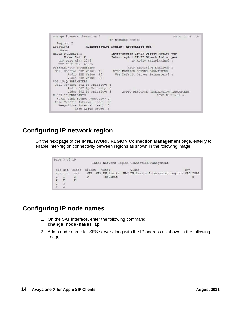```
change ip-network-region 2
                                                                    Page 1 of 19
                                IP NETWORK REGION
  Region: 2
Location:
                Authoritative Domain: devconnect.com
   Name:
MEDIA PARAMETERS
                                Intra-region IP-IP Direct Audio: yes
     Codec Set: 2
                               Inter-region IP-IP Direct Audio: yes
   UDP Port Min: 2048
                                            IP Audio Hairpinning? y
  UDP Port Max: 65535
DIFFSERV/TOS PARAMETERS
                                         RTCP Reporting Enabled? y
Call Control PHB Value: 46<br>
RTCP MONITOR SERVER PARAMETERS<br>
Audio PHB Value: 46 Use Default Server Parameters? y
       Video PHB Value: 26
802.1P/Q PARAMETERS
Call Control 802.1p Priority: 6
       Audio 802.1p Priority: 6
       Video 802.1p Priority: 5
                                     AUDIO RESOURCE RESERVATION PARAMETERS
H.323 IP ENDPOINTS
                                                         RSVP Enabled? n
H.323 Link Bounce Recovery? y
Idle Traffic Interval (sec): 20
  Keep-Alive Interval (sec): 5
           Keep-Alive Count: 5
```
# <span id="page-13-0"></span>**Configuring IP network region**

<span id="page-13-2"></span>On the next page of the **IP NETWORK REGION Connection Management** page, enter **y** to enable inter-region connectivity between regions as shown in the following image:

```
Page 3 of 19
                          Inter Network Region Connection Management
src dst codec direct Total
                                                   Video
                                                                                          Dyn
rgn rgn set WAN WAN-BW-limits WAN-BW-limits Intervening-regions CAC IGAR
                     y :NoLimit
 \overline{2}\overline{2}\overline{n}2 \quad 2\overline{2}\overline{2}\rightarrow\overline{2}\sqrt{4}
```
# <span id="page-13-1"></span>**Configuring IP node names**

- <span id="page-13-3"></span>1. On the SAT interface, enter the following command: **change node-names ip**
- 2. Add a node name for SES server along with the IP address as shown in the following image: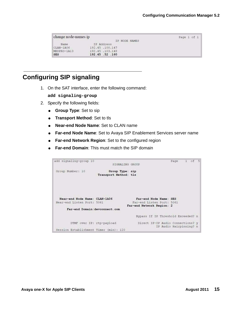```
change node-names ip
                                                                            Page 1 of 1
                                     IP NODE NAMES
                       IP Address
    Name
                    192.45 .100.147
CLAN-1A06
                     192.45 .103.148<br>192.45 .52 .160
MEDPRO-1A13
SES
```
# <span id="page-14-0"></span>**Configuring SIP signaling**

1. On the SAT interface, enter the following command:

**add signaling-group**

- 2. Specify the following fields:
	- **Group Type**: Set to sip
	- **Transport Method**: Set to tls
	- **Near-end Node Name**: Set to CLAN name
	- **Far-end Node Name**: Set to Avaya SIP Enablement Services server name
	- **Far-end Network Region**: Set to the configured region
	- **Far-end Domain:** This must match the SIP domain

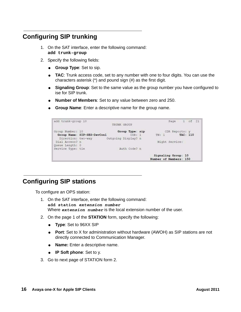# <span id="page-15-0"></span>**Configuring SIP trunking**

- 1. On the SAT interface, enter the following command: **add trunk-group**
- 2. Specify the following fields:
	- **Group Type**: Set to sip.
	- **TAC**: Trunk access code, set to any number with one to four digits. You can use the characters asterisk (\*) and pound sign (#) as the first digit.
	- **Signaling Group**: Set to the same value as the group number you have configured to ise for SIP trunk.
	- **Number of Members**: Set to any value between zero and 250.
	- **Group Name**: Enter a descriptive name for the group name.

| add trunk-group 10 |                             |                     |                 |      | Page                   |                | $1$ of $21$ |  |
|--------------------|-----------------------------|---------------------|-----------------|------|------------------------|----------------|-------------|--|
|                    |                             | TRUNK GROUP         |                 |      |                        |                |             |  |
| Group Number: 10   |                             |                     | Group Type: sip |      |                        | CDR Reports: y |             |  |
|                    | Group Name: SIP-SES-DevCon1 |                     | COR: 1          | TN:1 |                        | TAC: 110       |             |  |
| Direction: two-way |                             | Outgoing Display? n |                 |      |                        |                |             |  |
| Dial Access? n     |                             |                     |                 |      | Night Service:         |                |             |  |
| Queue Length: 0    |                             |                     |                 |      |                        |                |             |  |
| Service Type: tie  |                             |                     | Auth Code? n    |      |                        |                |             |  |
|                    |                             |                     |                 |      | Signaling Group: 10    |                |             |  |
|                    |                             |                     |                 |      | Number of Members: 150 |                |             |  |

# <span id="page-15-1"></span>**Configuring SIP stations**

<span id="page-15-2"></span>To configure an OPS station:

- 1. On the SAT interface, enter the following command: **add station** *extension number* Where *extension number* is the local extension number of the user.
- 2. On the page 1 of the **STATION** form, specify the following:
	- **Type**: Set to 96XX SIP
	- **Port**: Set to X for administration without hardware (AWOH) as SIP stations are not directly connected to Communication Manager.
	- **Name:** Enter a descriptive name.
	- **IP Soft phone**: Set to y.
- 3. Go to next page of STATION form 2.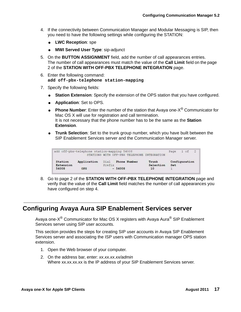- 4. If the connectivity between Communication Manager and Modular Messaging is SIP, then you need to have the following settings while configuring the STATION:
	- **LWC Reception**: spe
	- **MWI Served User Type**: sip-adjunct
- 5. On the **BUTTON ASSIGNMENT** field, add the number of call appearances entries. The number of call appearances must match the value of the **Call Limit** field on the page 2 of the **STATION WITH OFF-PBX TELEPHONE INTEGRATION** page.
- 6. Enter the following command: **add off-pbx-telephone station-mapping**
- 7. Specify the following fields:
	- **Station Extension**: Specify the extension of the OPS station that you have configured.
	- **Application**: Set to OPS.
	- **Phone Number**: Enter the number of the station that Avaya one-X® Communicator for Mac OS X will use for registration and call termination. It is not necessary that the phone number has to be the same as the **Station Extension**.
	- **Trunk Selection**: Set to the trunk group number, which you have built between the SIP Enablement Services server and the Communication Manager server.

|                      | add off-pbx-telephone station-mapping 54008 |                |          |              | STATIONS WITH OFF-PBX TELEPHONE INTEGRATION | Page | $1$ of        | $\overline{2}$ |
|----------------------|---------------------------------------------|----------------|----------|--------------|---------------------------------------------|------|---------------|----------------|
| Station<br>Extension | Application                                 | Dial<br>Prefix |          | Phone Number | Trunk<br>Selection                          | Set  | Configuration |                |
| 54008                | <b>OPS</b>                                  |                | $-54008$ |              | 10                                          |      |               |                |

<span id="page-16-1"></span>8. Go to page 2 of the **STATION WITH OFF-PBX TELEPHONE INTEGRATION** page and verify that the value of the **Call Limit** field matches the number of call appearances you have configured on step 4.

# <span id="page-16-0"></span>**Configuring Avaya Aura SIP Enablement Services server**

Avaya one- $X^{\circledR}$  Communicator for Mac OS X registers with Avaya Aura $^{\circledR}$  SIP Enablement Services server using SIP user accounts.

This section provides the steps for creating SIP user accounts in Avaya SIP Enablement Services server and associating the ISP users with Communication manager OPS station extension.

- 1. Open the Web browser of your computer.
- 2. On the address bar, enter: *xx.xx.xx.xx/admin* Where xx.xx.xx.xx is the IP address of your SIP Enablement Services server.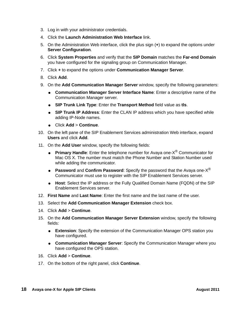- 3. Log in with your administrator credentials.
- 4. Click the **Launch Administration Web Interface** link.
- 5. On the Administration Web interface, click the plus sign (**+**) to expand the options under **Server Configuration**.
- 6. Click **System Properties** and verify that the **SIP Domain** matches the **Far-end Domain** you have configured for the signaling group on Communication Manager.
- 7. Click **+** to expand the options under **Communication Manager Server**.
- 8. Click **Add**.
- 9. On the **Add Communication Manager Server** window, specify the following parameters:
	- **Communication Manager Server Interface Name**: Enter a descriptive name of the Communication Manager server.
	- **SIP Trunk Link Type**: Enter the **Transport Method** field value as **tls**.
	- **SIP Trunk IP Address**: Enter the CLAN IP address which you have specified while adding IP-Node names.
	- Click **Add** > **Continue**.
- 10. On the left pane of the SIP Enablement Services administration Web interface, expand **Users** and click **Add**.
- 11. On the **Add User** window, specify the following fields:
	- **Primary Handle**: Enter the telephone number for Avaya one-X® Communicator for Mac OS X. The number must match the Phone Number and Station Number used while adding the communicator.
	- **Password** and **Confirm Password**: Specify the password that the Avaya one-X<sup>®</sup> Communicator must use to register with the SIP Enablement Services server.
	- **Host**: Select the IP address or the Fully Qualified Domain Name (FQDN) of the SIP Enablement Services server.
- 12. **First Name** and **Last Name**: Enter the first name and the last name of the user.
- 13. Select the **Add Communication Manager Extension** check box.
- 14. Click **Add** > **Continue**.
- 15. On the **Add Communication Manager Server Extension** window, specify the following fields:
	- **Extension**: Specify the extension of the Communication Manager OPS station you have configured.
	- **Communication Manager Server**: Specify the Communication Manager where you have configured the OPS station.
- 16. Click **Add** > **Continue**.
- 17. On the bottom of the right panel, click **Continue**.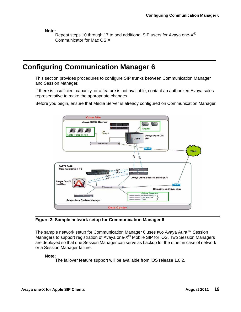**Note:**

<span id="page-18-1"></span>Repeat steps 10 through 17 to add additional SIP users for Avaya one- $X^{\textcircled{8}}$ Communicator for Mac OS X.

# <span id="page-18-0"></span>**Configuring Communication Manager 6**

This section provides procedures to configure SIP trunks between Communication Manager and Session Manager.

If there is insufficient capacity, or a feature is not available, contact an authorized Avaya sales representative to make the appropriate changes.

Before you begin, ensure that Media Server is already configured on Communication Manager.



**Figure 2: Sample network setup for Communication Manager 6**

The sample network setup for Communication Manager 6 uses two Avaya Aura™ Session Managers to support registration of Avaya one- $X^{\circledR}$  Mobile SIP for iOS. Two Session Managers are deployed so that one Session Manager can serve as backup for the other in case of network or a Session Manager failure.

### **Note:**

The failover feature support will be available from iOS release 1.0.2.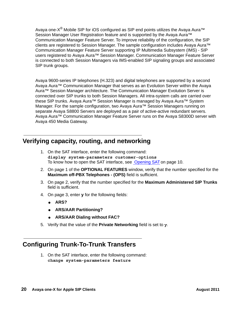Avaya one-X<sup>®</sup> Mobile SIP for iOS configured as SIP end points utilizes the Avaya Aura<sup>™</sup> Session Manager User Registration feature and is supported by the Avaya Aura<sup>™</sup> Communication Manager Feature Server. To improve reliability of the configuration, the SIP clients are registered to Session Manager. The sample configuration includes Avaya Aura™ Communication Manager Feature Server supporting IP Multimedia Subsystem (IMS) - SIP users registered to Avaya Aura™ Session Manager. Communication Manager Feature Server is connected to both Session Managers via IMS-enabled SIP signaling groups and associated SIP trunk groups.

Avaya 9600-series IP telephones (H.323) and digital telephones are supported by a second Avaya Aura™ Communication Manager that serves as an Evolution Server within the Avaya Aura™ Session Manager architecture. The Communication Manager Evolution Server is connected over SIP trunks to both Session Managers. All intra-system calls are carried over these SIP trunks. Avaya Aura™ Session Manager is managed by Avaya Aura™ System Manager. For the sample configuration, two Avaya Aura<sup>™</sup> Session Managers running on separate Avaya S8800 Servers are deployed as a pair of active-active redundant servers. Avaya Aura™ Communication Manager Feature Server runs on the Avaya S8300D server with Avaya 450 Media Gateway.

## <span id="page-19-2"></span><span id="page-19-0"></span>**Verifying capacity, routing, and networking**

- 1. On the SAT interface, enter the following command: **display system-parameters customer-options**  To know how to open the SAT interface, see [Opening SAT](#page-9-0) on page 10.
- 2. On page 1 of the **OPTIONAL FEATURES** window, verify that the number specified for the **Maximum off-PBX Telephones - (OPS)** field is sufficient.
- 3. On page 2, verify that the number specified for the **Maximum Administered SIP Trunks** field is sufficient.
- 4. On page 3, enter **y** for the following fields:
	- **ARS?**
	- **ARS/AAR Partitioning?**
	- **ARS/AAR Dialing without FAC?**
- 5. Verify that the value of the **Private Networking** field is set to **y**.

# <span id="page-19-1"></span>**Configuring Trunk-To-Trunk Transfers**

1. On the SAT interface, enter the following command: **change system-parameters feature**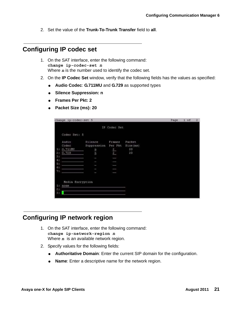<span id="page-20-2"></span>2. Set the value of the **Trunk-To-Trunk Transfer** field to **all**.

## <span id="page-20-0"></span>**Configuring IP codec set**

- 1. On the SAT interface, enter the following command: **change ip-codec-set** *n* Where *n* is the number used to identify the codec set.
- 2. On the **IP Codec Set** window, verify that the following fields has the values as specified:
	- **Audio Codec**: **G.711MU** and **G.729** as supported types
	- **Silence Suppression: n**
	- **Frames Per Pkt: 2**
	- **Packet Size (ms): 20**

| change ip-codec-set 5 |             |               |          | Page | 1 of | $\overline{2}$ |
|-----------------------|-------------|---------------|----------|------|------|----------------|
|                       |             | IP Codec Set  |          |      |      |                |
| Codec Set: 5          |             |               |          |      |      |                |
| Audio                 | Silence     | Frames        | Packet   |      |      |                |
| Codec                 | Suppression | Per Pkt       | Size(m3) |      |      |                |
| G.711MU<br>1.7        | ግ           |               | 20       |      |      |                |
| G.729<br>2:           | 里           | $\frac{2}{2}$ | 20       |      |      |                |
| 3:                    | -           |               |          |      |      |                |
| 4:                    |             |               |          |      |      |                |
| 5:                    |             |               |          |      |      |                |
| 6:                    | -           |               |          |      |      |                |
| 7:                    | -           |               |          |      |      |                |
|                       | -           |               |          |      |      |                |
|                       |             |               |          |      |      |                |
| Media Encryption      |             |               |          |      |      |                |
| none<br>1:            |             |               |          |      |      |                |
| 2:                    |             |               |          |      |      |                |
| 3:                    |             |               |          |      |      |                |

## <span id="page-20-1"></span>**Configuring IP network region**

- <span id="page-20-3"></span>1. On the SAT interface, enter the following command: **change ip-network-region** *n* Where *n* is an available network region.
- 2. Specify values for the following fields:
	- **Authoritative Domain**: Enter the current SIP domain for the configuration.
	- **Name**: Enter a descriptive name for the network region.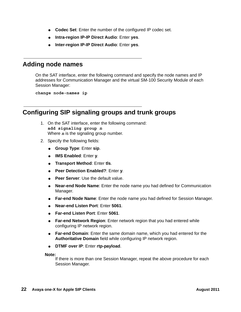- **Codec Set**: Enter the number of the configured IP codec set.
- **Intra-region IP-IP Direct Audio**: Enter **yes**.
- **Inter-region IP-IP Direct Audio**: Enter **yes**.

## <span id="page-21-0"></span>**Adding node names**

On the SAT interface, enter the following command and specify the node names and IP addresses for Communication Manager and the virtual SM-100 Security Module of each Session Manager:

**change node-names ip**

# <span id="page-21-1"></span>**Configuring SIP signaling groups and trunk groups**

- 1. On the SAT interface, enter the following command: **add signaling group** *n* Where *n* is the signaling group number.
- 2. Specify the following fields:
	- **Group Type**: Enter **sip**.
	- **IMS Enabled**: Enter **y**.
	- **Transport Method**: Enter **tls**.
	- **Peer Detection Enabled?**: Enter **y**.
	- **Peer Server**: Use the default value.
	- **Near-end Node Name**: Enter the node name you had defined for Communication Manager.
	- **Far-end Node Name**: Enter the node name you had defined for Session Manager.
	- **Near-end Listen Port**: Enter **5061**.
	- **Far-end Listen Port**: Enter **5061**.
	- **Far-end Network Region**: Enter network region that you had entered while configuring IP network region.
	- **Far-end Domain**: Enter the same domain name, which you had entered for the **Authoritative Domain** field while configuring IP network region.
	- **DTMF over IP**: Enter **rtp-payload**.

**Note:**

If there is more than one Session Manager, repeat the above procedure for each Session Manager.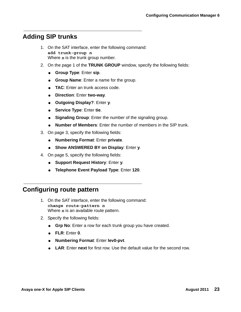# <span id="page-22-0"></span>**Adding SIP trunks**

- 1. On the SAT interface, enter the following command: **add trunk-group** *n* Where *n* is the trunk group number.
- 2. On the page 1 of the **TRUNK GROUP** window, specify the following fields:
	- **Group Type**: Enter **sip**.
	- **Group Name**: Enter a name for the group.
	- **TAC:** Enter an trunk access code.
	- **Direction**: Enter **two-way**.
	- **Outgoing Display?**: Enter **y**.
	- **Service Type**: Enter **tie**.
	- **Signaling Group**: Enter the number of the signaling group.
	- **Number of Members**: Enter the number of members in the SIP trunk.
- 3. On page 3, specify the following fields:
	- **Numbering Format**: Enter **private**.
	- **Show ANSWERED BY on Display**: Enter **y**.
- 4. On page 5, specify the following fields:
	- **Support Request History**: Enter **y**.
	- **Telephone Event Payload Type**: Enter **120**.

# <span id="page-22-1"></span>**Configuring route pattern**

- 1. On the SAT interface, enter the following command: **change route-pattern** *n* Where *n* is an available route pattern.
- 2. Specify the following fields:
	- **Grp No**: Enter a row for each trunk group you have created.
	- **FLR**: Enter **0**.
	- **Numbering Format**: Enter **lev0-pvt**.
	- **LAR**: Enter **next** for first row. Use the default value for the second row.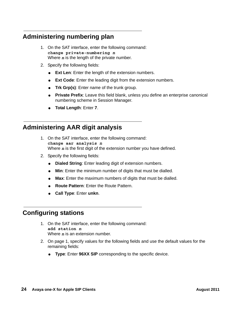# <span id="page-23-0"></span>**Administering numbering plan**

- 1. On the SAT interface, enter the following command: **change private-numbering** *n* Where *n* is the length of the private number.
- 2. Specify the following fields:
	- **Ext Len**: Enter the length of the extension numbers.
	- **Ext Code**: Enter the leading digit from the extension numbers.
	- **Trk Grp(s)**: Enter name of the trunk group.
	- **Private Prefix**: Leave this field blank, unless you define an enterprise canonical numbering scheme in Session Manager.
	- **Total Length**: Enter **7**.

## <span id="page-23-1"></span>**Administering AAR digit analysis**

- 1. On the SAT interface, enter the following command: **change aar analysis** *n* Where *n* is the first digit of the extension number you have defined.
- 2. Specify the following fields:
	- **Dialed String**: Enter leading digit of extension numbers.
	- **Min**: Enter the minimum number of digits that must be dialled.
	- **Max**: Enter the maximum numbers of digits that must be dialled.
	- **Route Pattern**: Enter the Route Pattern.
	- **Call Type**: Enter **unkn**.

## <span id="page-23-2"></span>**Configuring stations**

- 1. On the SAT interface, enter the following command: **add station** *n* Where *n* is an extension number.
- 2. On page 1, specify values for the following fields and use the default values for the remaining fields:
	- **Type**: Enter **96XX SIP** corresponding to the specific device.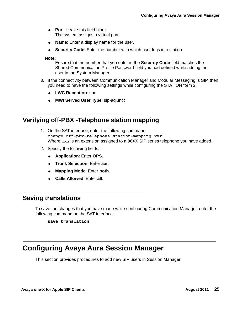- **Port**: Leave this field blank. The system assigns a virtual port.
- **Name**: Enter a display name for the user.
- **Security Code**: Enter the number with which user logs into station.

#### **Note:**

Ensure that the number that you enter in the **Security Code** field matches the Shared Communication Profile Password field you had defined while adding the user in the System Manager.

- 3. If the connectivity between Communication Manager and Modular Messaging is SIP, then you need to have the following settings while configuring the STATION form 2:
	- **LWC Reception**: spe
	- **MWI Served User Type**: sip-adjunct

## <span id="page-24-0"></span>**Verifying off-PBX -Telephone station mapping**

- 1. On the SAT interface, enter the following command: **change off-pbx-telephone station-mapping** *xxx* Where *xxx* is an extension assigned to a 96XX SIP series telephone you have added.
- 2. Specify the following fields:
	- **Application**: Enter **OPS**.
	- **Trunk Selection**: Enter **aar**.
	- **Mapping Mode**: Enter **both**.
	- **Calls Allowed**: Enter **all**.

### <span id="page-24-1"></span>**Saving translations**

To save the changes that you have made while configuring Communication Manager, enter the following command on the SAT interface:

<span id="page-24-3"></span>**save translation**

# <span id="page-24-2"></span>**Configuring Avaya Aura Session Manager**

This section provides procedures to add new SIP users in Session Manager.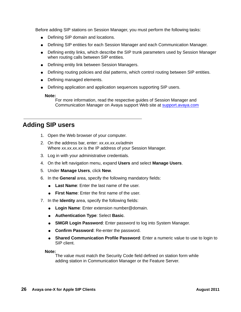Before adding SIP stations on Session Manager, you must perform the following tasks:

- Defining SIP domain and locations.
- Defining SIP entities for each Session Manager and each Communication Manager.
- Defining entity links, which describe the SIP trunk parameters used by Session Manager when routing calls between SIP entities.
- Defining entity link between Session Managers.
- Defining routing policies and dial patterns, which control routing between SIP entities.
- Defining managed elements.
- Defining application and application sequences supporting SIP users.

#### **Note:**

For more information, read the respective guides of Session Manager and Communication Manager on Avaya support Web site at [support.avaya.com](http://support.avaya.com)

## <span id="page-25-0"></span>**Adding SIP users**

- 1. Open the Web browser of your computer.
- 2. On the address bar, enter: *xx.xx.xx.xx/admin* Where *xx.xx.xx.xx* is the IP address of your Session Manager.
- 3. Log in with your administrative credentials.
- 4. On the left navigation menu, expand **Users** and select **Manage Users**.
- 5. Under **Manage Users**, click **New**.
- 6. In the **General** area, specify the following mandatory fields:
	- **Last Name**: Enter the last name of the user.
	- **First Name**: Enter the first name of the user.
- 7. In the **Identity** area, specify the following fields:
	- **Login Name**: Enter extension number@domain.
	- **Authentication Type**: Select **Basic**.
	- **SMGR Login Password**: Enter password to log into System Manager.
	- **Confirm Password**: Re-enter the password.
	- **Shared Communication Profile Password**: Enter a numeric value to use to login to SIP client.

**Note:**

The value must match the Security Code field defined on station form while adding station in Communication Manager or the Feature Server.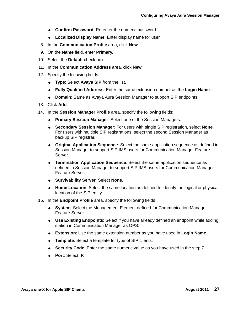- **Confirm Password**: Re-enter the numeric password.
- **Localized Display Name**: Enter display name for user.
- 8. In the **Communication Profile** area, click **New**.
- 9. On the **Name** field, enter **Primary**.
- 10. Select the **Default** check box.
- 11. In the **Communication Address** area, click **New**.
- 12. Specify the following fields:
	- **Type**: Select **Avaya SIP** from the list.
	- **Fully Qualified Address**: Enter the same extension number as the **Login Name**.
	- **Domain**: Same as Avaya Aura Session Manager to support SIP endpoints.
- 13. Click **Add**.
- 14. In the **Session Manager Profile** area, specify the following fields:
	- **Primary Session Manager**: Select one of the Session Managers.
	- **Secondary Session Manager**: For users with single SIP registration, select **None**. For users with multiple SIP registrations, select the second Session Manager as backup SIP registrar.
	- **Original Application Sequence**: Select the same application sequence as defined in Session Manager to support SIP IMS users for Communication Manager Feature Server.
	- **Termination Application Sequence:** Select the same application sequence as defined in Session Manager to support SIP IMS users for Communication Manager Feature Server.
	- **Survivability Server**: Select **None**.
	- **Home Location**: Select the same location as defined to identify the logical or physical location of the SIP entity.
- 15. In the **Endpoint Profile** area, specify the following fields:
	- **System**: Select the Management Element defined for Communication Manager Feature Server.
	- **Use Existing Endpoints**: Select if you have already defined an endpoint while adding station in Communication Manager as OPS.
	- **Extension**: Use the same extension number as you have used in **Login Name**.
	- **Template**: Select a template for type of SIP clients.
	- **Security Code**: Enter the same numeric value as you have used in the step 7.
	- **Port**: Select **IP**.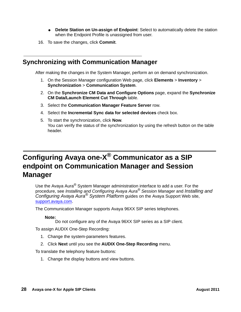- **Delete Station on Un-assign of Endpoint**: Select to automatically delete the station when the Endpoint Profile is unassigned from user.
- 16. To save the changes, click **Commit**.

## <span id="page-27-0"></span>**Synchronizing with Communication Manager**

After making the changes in the System Manager, perform an on demand synchronization.

- 1. On the Session Manager configuration Web page, click **Elements** > **Inventory** > **Synchronization** > **Communication System**.
- 2. On the **Synchronize CM Data and Configure Options** page, expand the **Synchronize CM Data/Launch Element Cut Through** table.
- 3. Select the **Communication Manager Feature Server** row.
- 4. Select the **Incremental Sync data for selected devices** check box.
- 5. To start the synchronization, click **Now**. You can verify the status of the synchronization by using the refresh button on the table header.

# <span id="page-27-1"></span>**Configuring Avaya one-X® Communicator as a SIP endpoint on Communication Manager and Session Manager**

<span id="page-27-2"></span>Use the Avaya Aura® System Manager administration interface to add a user. For the procedure, see *Installing and Configuring Avaya Aura® Session Manager* and *Installing and Configuring Avaya Aura® System Platform* guides on the Avaya Support Web site, [support.avaya.com.](http://support.avaya.com)

The Communication Manager supports Avaya 96XX SIP series telephones.

### **Note:**

<span id="page-27-3"></span>Do not configure any of the Avaya 96XX SIP series as a SIP client.

To assign AUDIX One-Step Recording:

- 1. Change the system-parameters features.
- 2. Click **Next** until you see the **AUDIX One-Step Recording** menu.

To translate the telephony feature buttons:

1. Change the display buttons and view buttons.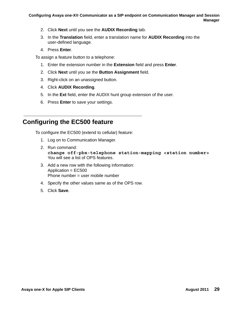- 2. Click **Next** until you see the **AUDIX Recording** tab.
- 3. In the **Translation** field, enter a translation name for **AUDIX Recording** into the user-defined language.
- 4. Press **Enter**.

To assign a feature button to a telephone:

- 1. Enter the extension number in the **Extension** field and press **Enter**.
- 2. Click **Next** until you se the **Button Assignment** field.
- 3. Right-click on an unassigned button.
- 4. Click **AUDIX Recording**.
- 5. In the **Ext** field, enter the AUDIX hunt group extension of the user.
- 6. Press **Enter** to save your settings.

# <span id="page-28-0"></span>**Configuring the EC500 feature**

To configure the EC500 (extend to cellular) feature:

- 1. Log on to Communication Manager.
- 2. Run command: **change off-pbx-telephone station-mapping <station number>** You will see a list of OPS features.
- 3. Add a new row with the following information: Application = EC500 Phone number = user mobile number
- 4. Specify the other values same as of the OPS row.
- 5. Click **Save**.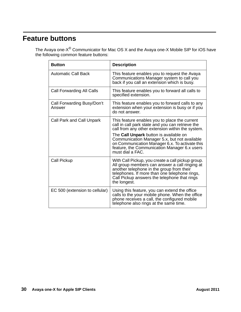# <span id="page-29-1"></span><span id="page-29-0"></span>**Feature buttons**

The Avaya one-X® Communicator for Mac OS X and the Avaya one-X Mobile SIP for iOS have the following common feature buttons:

| <b>Button</b>                        | <b>Description</b>                                                                                                                                                                                                                                                                                                                                                    |
|--------------------------------------|-----------------------------------------------------------------------------------------------------------------------------------------------------------------------------------------------------------------------------------------------------------------------------------------------------------------------------------------------------------------------|
| <b>Automatic Call Back</b>           | This feature enables you to request the Avaya<br>Communications Manager system to call you<br>back if you call an extension which is busy.                                                                                                                                                                                                                            |
| Call Forwarding All Calls            | This feature enables you to forward all calls to<br>specified extension.                                                                                                                                                                                                                                                                                              |
| Call Forwarding Busy/Don't<br>Answer | This feature enables you to forward calls to any<br>extension when your extension is busy or if you<br>do not answer.                                                                                                                                                                                                                                                 |
| Call Park and Call Unpark            | This feature enables you to place the current<br>call in call park state and you can retrieve the<br>call from any other extension within the system.<br>The Call Unpark button is available on<br>Communication Manager 5.x, but not available<br>on Communication Manager 6.x. To activate this<br>feature, the Communication Manager 6.x users<br>must dial a FAC. |
| <b>Call Pickup</b>                   | With Call Pickup, you create a call pickup group.<br>All group members can answer a call ringing at<br>another telephone in the group from their<br>telephones. If more than one telephone rings,<br>Call Pickup answers the telephone that rings<br>the longest.                                                                                                     |
| EC 500 (extension to cellular)       | Using this feature, you can extend the office<br>calls to the your mobile phone. When the office<br>phone receives a call, the configured mobile<br>telephone also rings at the same time.                                                                                                                                                                            |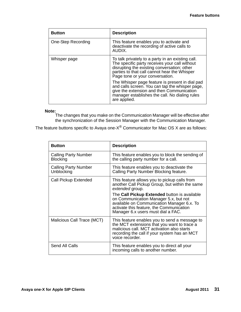| <b>Button</b>      | <b>Description</b>                                                                                                                                                                                                                   |
|--------------------|--------------------------------------------------------------------------------------------------------------------------------------------------------------------------------------------------------------------------------------|
| One-Step Recording | This feature enables you to activate and<br>deactivate the recording of active calls to<br>AUDIX.                                                                                                                                    |
| Whisper page       | To talk privately to a party in an existing call.<br>The specific party receives your call without<br>disrupting the existing conversation; other<br>parties to that call cannot hear the Whisper<br>Page tone or your conversation. |
|                    | The Whisper page feature is present in dial pad<br>and calls screen. You can tap the whisper page,<br>give the extension and then Communication<br>manager establishes the call. No dialing rules<br>are applied.                    |

### **Note:**

The changes that you make on the Communication Manager will be effective after the synchronization of the Session Manager with the Communication Manager.

The feature buttons specific to Avaya one- $X^{\circledast}$  Communicator for Mac OS X are as follows:

| <b>Button</b>                                  | <b>Description</b>                                                                                                                                                                                                    |
|------------------------------------------------|-----------------------------------------------------------------------------------------------------------------------------------------------------------------------------------------------------------------------|
| <b>Calling Party Number</b><br><b>Blocking</b> | This feature enables you to block the sending of<br>the calling party number for a call.                                                                                                                              |
| <b>Calling Party Number</b><br>Unblocking      | This feature enables you to deactivate the<br>Calling Party Number Blocking feature.                                                                                                                                  |
| <b>Call Pickup Extended</b>                    | This feature allows you to pickup calls from<br>another Call Pickup Group, but within the same<br>extended group.                                                                                                     |
|                                                | The Call Pickup Extended button is available<br>on Communication Manager 5.x, but not<br>available on Communication Manager 6.x. To<br>activate this feature, the Communication<br>Manager 6.x users must dial a FAC. |
| Malicious Call Trace (MCT)                     | This feature enables you to send a message to<br>the MCT extensions that you want to trace a<br>malicious call. MCT activation also starts<br>recording the call if your system has an MCT<br>voice recorder.         |
| Send All Calls                                 | This feature enables you to direct all your<br>incoming calls to another number.                                                                                                                                      |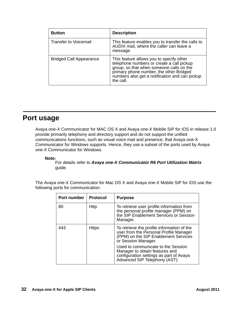| <b>Button</b>                  | <b>Description</b>                                                                                                                                                                                                                          |
|--------------------------------|---------------------------------------------------------------------------------------------------------------------------------------------------------------------------------------------------------------------------------------------|
| <b>Transfer to Voicemail</b>   | This feature enables you to transfer the calls to<br>AUDIX mail, where the caller can leave a<br>message.                                                                                                                                   |
| <b>Bridged Call Appearance</b> | This feature allows you to specify other<br>telephone numbers or create a call pickup<br>group, so that when someone calls on the<br>primary phone number, the other Bridged<br>numbers also get a notification and can pickup<br>the call. |

# <span id="page-31-1"></span><span id="page-31-0"></span>**Port usage**

Avaya one-X Communicator for MAC OS X and Avaya one-X Mobile SIP for iOS in release 1.0 provide primarily telephony and directory support and do not support the unified communications functions, such as visual voice mail and presence, that Avaya one-X Communicator for Windows supports. Hence, they use a subset of the ports used by Avaya one-X Communicator for Windows.

### **Note:**

For details refer to *Avaya one-X Communicator R6 Port Utilization Matrix* guide.

The Avaya one-X Communicator for Mac OS X and Avaya one-X Mobile SIP for iOS use the following ports for communication:

| <b>Port number</b> | <b>Protocol</b> | <b>Purpose</b>                                                                                                                                      |
|--------------------|-----------------|-----------------------------------------------------------------------------------------------------------------------------------------------------|
| 80                 | <b>Http</b>     | To retrieve user profile information from<br>the personal profile manager (PPM) on<br>the SIP Enablement Services or Session<br>Manager.            |
| 443                | <b>Https</b>    | To retrieve the profile information of the<br>user from the Personal Profile Manager<br>(PPM) on the SIP Enablement Services<br>or Session Manager. |
|                    |                 | Used to communicate to the Session<br>Manager to obtain features and<br>configuration settings as part of Avaya<br>Advanced SIP Telephony (AST).    |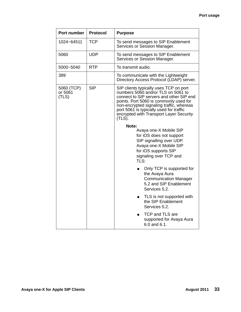| Port number                    | <b>Protocol</b> | <b>Purpose</b>                                                                                                                                                                                                                                                                                                    |
|--------------------------------|-----------------|-------------------------------------------------------------------------------------------------------------------------------------------------------------------------------------------------------------------------------------------------------------------------------------------------------------------|
| 1024~64511                     | <b>TCP</b>      | To send messages to SIP Enablement<br>Services or Session Manager.                                                                                                                                                                                                                                                |
| 5060                           | <b>UDP</b>      | To send messages to SIP Enablement<br>Services or Session Manager.                                                                                                                                                                                                                                                |
| 5000~5040                      | <b>RTP</b>      | To transmit audio.                                                                                                                                                                                                                                                                                                |
| 389                            |                 | To communicate with the Lightweight<br>Directory Access Protocol (LDAP) server.                                                                                                                                                                                                                                   |
| 5060 (TCP)<br>or 5061<br>(TLS) | <b>SIP</b>      | SIP clients typically uses TCP on port<br>numbers 5060 and/or TLS on 5061 to<br>connect to SIP servers and other SIP end<br>points. Port 5060 is commonly used for<br>non-encrypted signaling traffic, whereas<br>port 5061 is typically used for traffic<br>encrypted with Transport Layer Security<br>$(TLS)$ . |
|                                |                 | Note:<br>Avaya one-X Mobile SIP<br>for iOS does not support<br>SIP signalling over UDP.<br>Avaya one-X Mobile SIP<br>for iOS supports SIP<br>signaling over TCP and<br>TLS:                                                                                                                                       |
|                                |                 | Only TCP is supported for<br>the Avaya Aura<br><b>Communication Manager</b><br>5.2 and SIP Enablement<br>Services 5.2.                                                                                                                                                                                            |
|                                |                 | TLS is not supported with<br>the SIP Enablement<br>Services 5.2.                                                                                                                                                                                                                                                  |
|                                |                 | <b>TCP and TLS are</b><br>supported for Avaya Aura<br>6.0 and 6.1.                                                                                                                                                                                                                                                |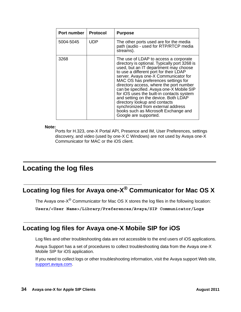| Port number | <b>Protocol</b> | <b>Purpose</b>                                                                                                                                                                                                                                                                                                                                                                                                                                                                                                                                                               |
|-------------|-----------------|------------------------------------------------------------------------------------------------------------------------------------------------------------------------------------------------------------------------------------------------------------------------------------------------------------------------------------------------------------------------------------------------------------------------------------------------------------------------------------------------------------------------------------------------------------------------------|
| 5004-5045   | UDP             | The other ports used are for the media<br>path (audio - used for RTP/RTCP media<br>streams).                                                                                                                                                                                                                                                                                                                                                                                                                                                                                 |
| 3268        |                 | The use of LDAP to access a corporate<br>directory is optional. Typically port 3268 is<br>used, but an IT department may choose<br>to use a different port for their LDAP<br>server. Avaya one-X Communicator for<br>MAC OS has preferences settings for<br>directory access, where the port number<br>can be specified. Avaya one-X Mobile SIP<br>for iOS uses the built-in contacts system<br>and setting on the device. Both LDAP<br>directory lookup and contacts<br>synchronized from external address<br>books such as Microsoft Exchange and<br>Google are supported. |

**Note:**

<span id="page-33-3"></span>Ports for H.323, one-X Portal API, Presence and IM, User Preferences, settings discovery, and video (used by one-X C Windows) are not used by Avaya one-X Communicator for MAC or the iOS client.

# <span id="page-33-0"></span>**Locating the log files**

# <span id="page-33-1"></span>**Locating log files for Avaya one-X® Communicator for Mac OS X**

The Avaya one- $X^{\circledast}$  Communicator for Mac OS X stores the log files in the following location:

**Users/<User Name>/Library/Preferences/Avaya/SIP Communicator/Logs**

# <span id="page-33-2"></span>**Locating log files for Avaya one-X Mobile SIP for iOS**

Log files and other troubleshooting data are not accessible to the end users of iOS applications.

Avaya Support has a set of procedures to collect troubleshooting data from the Avaya one-X Mobile SIP for iOS application.

If you need to collect logs or other troubleshooting information, visit the Avaya support Web site, [support.avaya.com.](http://support.avaya.com)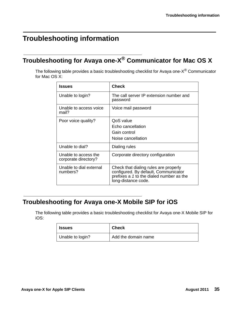# <span id="page-34-3"></span><span id="page-34-0"></span>**Troubleshooting information**

# <span id="page-34-1"></span>**Troubleshooting for Avaya one-X® Communicator for Mac OS X**

The following table provides a basic troubleshooting checklist for Avaya one- $X^{\circledast}$  Communicator for Mac OS X:

| <b>Issues</b>                                | <b>Check</b>                                                                                                                                     |
|----------------------------------------------|--------------------------------------------------------------------------------------------------------------------------------------------------|
| Unable to login?                             | The call server IP extension number and<br>password                                                                                              |
| Unable to access voice<br>mail?              | Voice mail password                                                                                                                              |
| Poor voice quality?                          | QoS value<br>Echo cancellation<br>Gain control<br>Noise cancellation                                                                             |
| Unable to dial?                              | Dialing rules                                                                                                                                    |
| Unable to access the<br>corporate directory? | Corporate directory configuration                                                                                                                |
| Unable to dial external<br>numbers?          | Check that dialing rules are properly<br>configured. By default, Communicator<br>prefixes a 1 to the dialed number as the<br>long-distance code. |

# <span id="page-34-2"></span>**Troubleshooting for Avaya one-X Mobile SIP for iOS**

The following table provides a basic troubleshooting checklist for Avaya one-X Mobile SIP for iOS:

| Issues           | <b>Check</b>        |
|------------------|---------------------|
| Unable to login? | Add the domain name |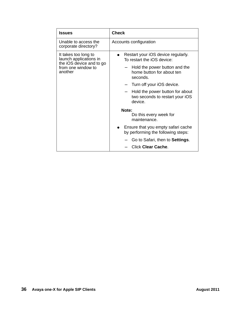| <b>Issues</b>                                                              | <b>Check</b>                                                                  |  |
|----------------------------------------------------------------------------|-------------------------------------------------------------------------------|--|
| Unable to access the<br>corporate directory?                               | Accounts configuration                                                        |  |
| It takes too long to<br>launch applications in<br>the iOS device and to go | Restart your iOS device regularly.<br>To restart the iOS device:              |  |
| from one window to<br>another                                              | Hold the power button and the<br>home button for about ten<br>seconds.        |  |
|                                                                            | Turn off your iOS device.                                                     |  |
|                                                                            | Hold the power button for about<br>two seconds to restart your iOS<br>device. |  |
|                                                                            | Note:<br>Do this every week for<br>maintenance.                               |  |
|                                                                            | Ensure that you empty safari cache<br>by performing the following steps:      |  |
|                                                                            | Go to Safari, then to Settings.                                               |  |
|                                                                            | <b>Click Clear Cache.</b>                                                     |  |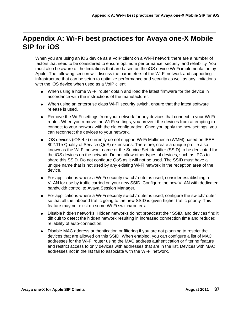# <span id="page-36-0"></span>**Appendix A: Wi-Fi best practices for Avaya one-X Mobile SIP for iOS**

When you are using an iOS device as a VoIP client on a Wi-Fi network there are a number of factors that need to be considered to ensure optimum performance, security, and reliability. You must also be aware of the limitations that are based on the iOS device Wi-Fi implementation by Apple. The following section will discuss the parameters of the Wi-Fi network and supporting infrastructure that can be setup to optimize performance and security as well as any limitations with the iOS device when used as a VoIP client.

- When using a home Wi-Fi router obtain and load the latest firmware for the device in accordance with the instructions of the manufacturer.
- When using an enterprise class Wi-Fi security switch, ensure that the latest software release is used.
- Remove the Wi-Fi settings from your network for any devices that connect to your Wi-Fi router. When you remove the Wi-Fi settings, you prevent the devices from attempting to connect to your network with the old configuration. Once you apply the new settings, you can reconnect the devices to your network.
- $\bullet$  iOS devices (iOS 4.x) currently do not support Wi-Fi Multimedia (WMM) based on IEEE 802.11e Quality of Service (QoS) extensions. Therefore, create a unique profile also known as the Wi-Fi network name or the Service Set Identifier (SSID) to be dedicated for the iOS devices on the network. Do not allow other types of devices, such as, PCs to share this SSID. Do not configure QoS as it will not be used. The SSID must have a unique name that is not used by any existing Wi-Fi network in the reception area of the device.
- For applications where a Wi-Fi security switch/router is used, consider establishing a VLAN for use by traffic carried on your new SSID. Configure the new VLAN with dedicated bandwidth control to Avaya Session Manager.
- For applications where a Wi-Fi security switch/router is used, configure the switch/router so that all the inbound traffic going to the new SSID is given higher traffic priority. This feature may not exist on some Wi-Fi switch/routers.
- Disable hidden networks. Hidden networks do not broadcast their SSID, and devices find it difficult to detect the hidden network resulting in increased connection time and reduced reliability of auto-connection.
- Disable MAC address authentication or filtering if you are not planning to restrict the devices that are allowed on this SSID. When enabled, you can configure a list of MAC addresses for the Wi-Fi router using the MAC address authentication or filtering feature and restrict access to only devices with addresses that are in the list. Devices with MAC addresses not in the list fail to associate with the Wi-Fi network.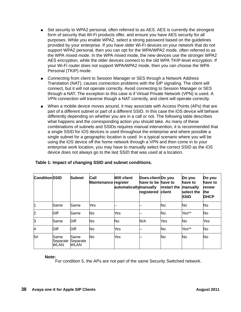- Set security to WPA2 personal, often referred to as AES. AES is currently the strongest form of security that Wi-Fi products offer, and ensure you have AES security for all purposes. While you enable WPA2, select a strong password based on the guidelines provided by your enterprise. If you have older Wi-Fi devices on your network that do not support WPA2 personal, then you can opt for the WPA/WPA2 mode, often referred to as the WPA mixed mode. In the WPA mixed mode, the new devices use the stronger WPA2 AES encryption, while the older devices connect to the old WPA TKIP-level encryption. If your Wi-Fi router does not support WPA/WPA2 mode, then you can choose the WPA Personal (TKIP) mode.
- Connecting from client to Session Manager or SES through a Network Address Translation (NAT), causes connection problems with the SIP signaling. The client will connect, but it will not operate correctly. Avoid connecting to Session Manager or SES through a NAT. The exception to this case is if Virtual Private Network (VPN) is used. A VPN connection will traverse though a NAT correctly, and client will operate correctly.
- When a mobile device moves around, it may associate with Access Points (APs) that are part of a different subnet or part of a different SSID. In this case the iOS device will behave differently depending on whether you are in a call or not. The following table describes what happens and the corresponding action you should take. As many of these combinations of subnets and SSIDs requires manual intervention, it is recommended that a single SSID for iOS devices is used throughout the enterprise and where possible a single subnet for a geographic location is used. In a typical scenario where you will be using the iOS device off the home network through a VPN and then come in to your enterprise work location, you may have to manually select the correct SSID as the iOS device does not always go to the last SSID that was used at a location.

| <b>ConditionSSID</b> |                          | <b>Subnet</b>            | Call<br>Maintenance register | <b>Will client</b><br>automaticallymanually | Does client Do you<br>have to be have to<br>registered | restart the<br>client | Do you<br>have to<br>manually<br>select the<br><b>SSID</b> | Do you<br>have to<br>renew<br>the<br><b>DHCP</b> |
|----------------------|--------------------------|--------------------------|------------------------------|---------------------------------------------|--------------------------------------------------------|-----------------------|------------------------------------------------------------|--------------------------------------------------|
|                      | Same                     | Same                     | Yes                          | --                                          |                                                        | No                    | No                                                         | No                                               |
| $\overline{c}$       | Diff                     | Same                     | No                           | Yes                                         |                                                        | No                    | Yes**                                                      | No                                               |
| 3                    | Same                     | Diff                     | No                           | No                                          | N/A                                                    | Yes                   | No                                                         | Yes                                              |
| 4                    | Diff                     | Diff                     | No.                          | Yes                                         | --                                                     | No                    | Yes**                                                      | No                                               |
| 5#                   | Same<br>Separate<br>WLAN | Same<br>Separate<br>WLAN | No                           | Yes                                         |                                                        | No                    | No                                                         | No                                               |

### **Table 1: Impact of changing SSID and subnet conditions.**

### **Note:**

For condition 5, the APs are not part of the same Security Switched network.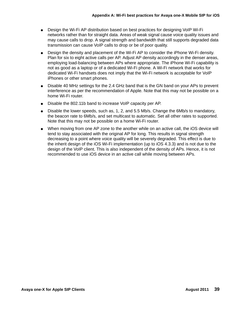- Design the Wi-Fi AP distribution based on best practices for designing VoIP Wi-Fi networks rather than for straight data. Areas of weak signal cause voice quality issues and may cause calls to drop. A signal strength and bandwidth that still supports degraded data transmission can cause VoIP calls to drop or be of poor quality.
- Design the density and placement of the Wi-Fi AP to consider the iPhone Wi-Fi density. Plan for six to eight active calls per AP. Adjust AP density accordingly in the denser areas, employing load-balancing between APs where appropriate. The iPhone Wi-Fi capability is not as good as a laptop or of a dedicated Wi-Fi phone. A Wi-Fi network that works for dedicated Wi-Fi handsets does not imply that the Wi-Fi network is acceptable for VoIP iPhones or other smart phones.
- Disable 40 MHz settings for the 2.4 GHz band that is the GN band on your APs to prevent interference as per the recommendation of Apple. Note that this may not be possible on a home Wi-Fi router.
- Disable the 802.11b band to increase VoIP capacity per AP.
- Disable the lower speeds, such as, 1, 2, and 5.5 Mb/s. Change the 6Mb/s to mandatory, the beacon rate to 6Mb/s, and set multicast to automatic. Set all other rates to supported. Note that this may not be possible on a home Wi-Fi router.
- When moving from one AP zone to the another while on an active call, the iOS device will tend to stay associated with the original AP for long. This results in signal strength decreasing to a point where voice quality will be severely degraded. This effect is due to the inherit design of the iOS Wi-Fi implementation (up to iOS 4.3.3) and is not due to the design of the VoIP client. This is also independent of the density of APs. Hence, it is not recommended to use iOS device in an active call while moving between APs.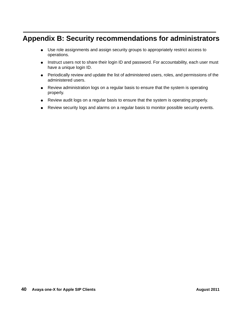# <span id="page-39-0"></span>**Appendix B: Security recommendations for administrators**

- Use role assignments and assign security groups to appropriately restrict access to operations.
- Instruct users not to share their login ID and password. For accountability, each user must have a unique login ID.
- Periodically review and update the list of administered users, roles, and permissions of the administered users.
- Review administration logs on a regular basis to ensure that the system is operating properly.
- Review audit logs on a regular basis to ensure that the system is operating properly.
- Review security logs and alarms on a regular basis to monitor possible security events.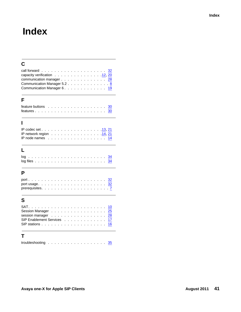# <span id="page-40-0"></span>**Index**

| C                                                                                                                                                                      |          |
|------------------------------------------------------------------------------------------------------------------------------------------------------------------------|----------|
| call forward $\ldots$ .<br>capacity verification<br><u>.12, 20</u><br>$\frac{28}{2}$<br>communication manager<br>Communication Manager 5.2<br>Communication Manager 6. |          |
| F                                                                                                                                                                      |          |
| feature buttons<br>features                                                                                                                                            | 30<br>30 |
| ı                                                                                                                                                                      |          |
| IP codec set. $\ldots$<br>13, 21<br>IP network region 14, 21<br>IP node names $\ldots$                                                                                 |          |
| L                                                                                                                                                                      |          |
| $log \ldots$<br>.<br>$log$ files $\ldots$ $\ldots$<br>.                                                                                                                |          |
| P                                                                                                                                                                      |          |
| port $\cdots$ , $\cdots$<br>$\sim 100$ km s $^{-1}$<br>and a series<br>port usage.<br>.<br>prerequisites.                                                              |          |
| S                                                                                                                                                                      |          |
| SAT.<br><b>Service</b><br>Session Manager<br>session manager<br>SIP Enablement Services<br>SIP stations<br>a a shekar                                                  |          |
| Т                                                                                                                                                                      |          |

troubleshooting  $\ldots$  . . . . . . . . . . . . . . . [35](#page-34-3)